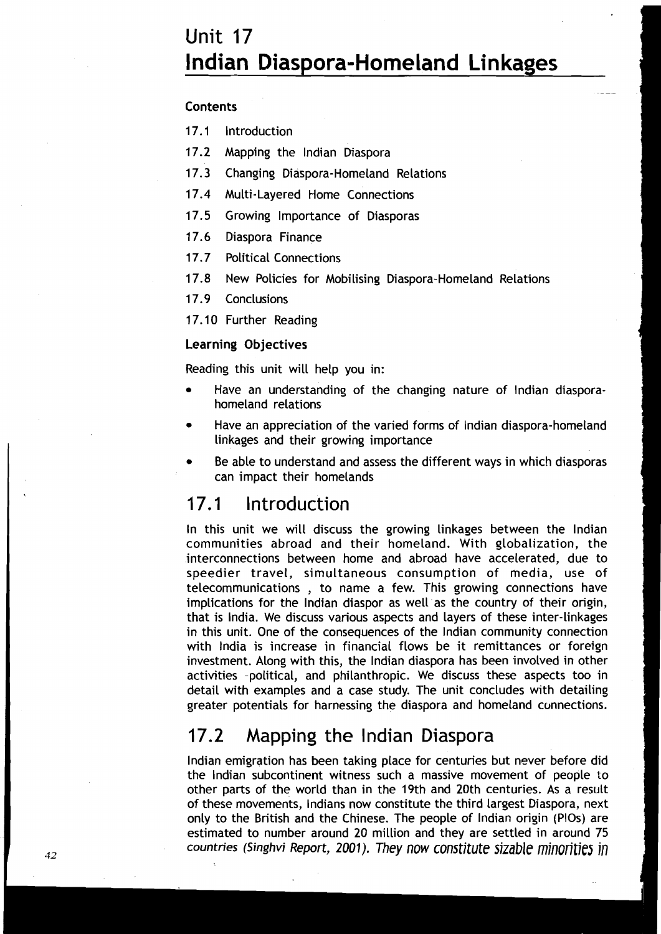# **Unit 17 lndian Diaspora-Homeland Linkages**

-

#### **Contents**

17.1 Introduction

17.2 Mapping the lndian Diaspora

17.3 Changing Diaspora-Homeland Relations

17.4 Multi-Layered Home Connections

17.5 Growing Importance of Diasporas

17.6 Diaspora Finance

17.7 Political Connections

17.8 New Policies for Mobilising Diaspora-Homeland Relations

17.9 Conclusions

17.10 Further Reading

### Learning Objectives

Reading this unit will help you in:

- Have an understanding of the changing nature of lndian diasporahomeland relations
- Have an appreciation of the varied forms of lndian diaspora-homeland  $\bullet$ linkages and their growing importance
- Be able to understand and assess the different ways in which diasporas can impact their homelands

### 17.1 Introduction

In this unit we will discuss the growing linkages between the lndian communities abroad and their homeland. With globalization, the interconnections between home and abroad have accelerated, due to speedier travel, simultaneous consumption of media, use of telecommunications , to name a few. This growing connections have implications for the lndian diaspor as well as the country of their origin, that is India. We discuss various aspects and layers of these inter-linkages in this unit. One of the consequences of the lndian community connection with India is increase in financial flows be it remittances or foreign investment. Along with this, the lndian diaspora has been involved in other activities -political, and philanthropic. We discuss these aspects too in detail with examples and a case study. The unit concludes with detailing greater potentials for harnessing the diaspora and homeland connections.

### 17.2 Mapping the lndian Diaspora

lndian emigration has been taking place for centuries but never before did the lndian subcontinent witness such a massive movement of people to other parts of the world than in the 19th and 20th centuries. As a result of these movements, Indians now constitute the third largest Diaspora, next only to the British and the Chinese. The people of lndian origin (PlOs) are estimated to number around 20 million and they are settled in around 75 <sup>42</sup> **countries (Singhvi Report, 2001). They now constitute sizable minorities in**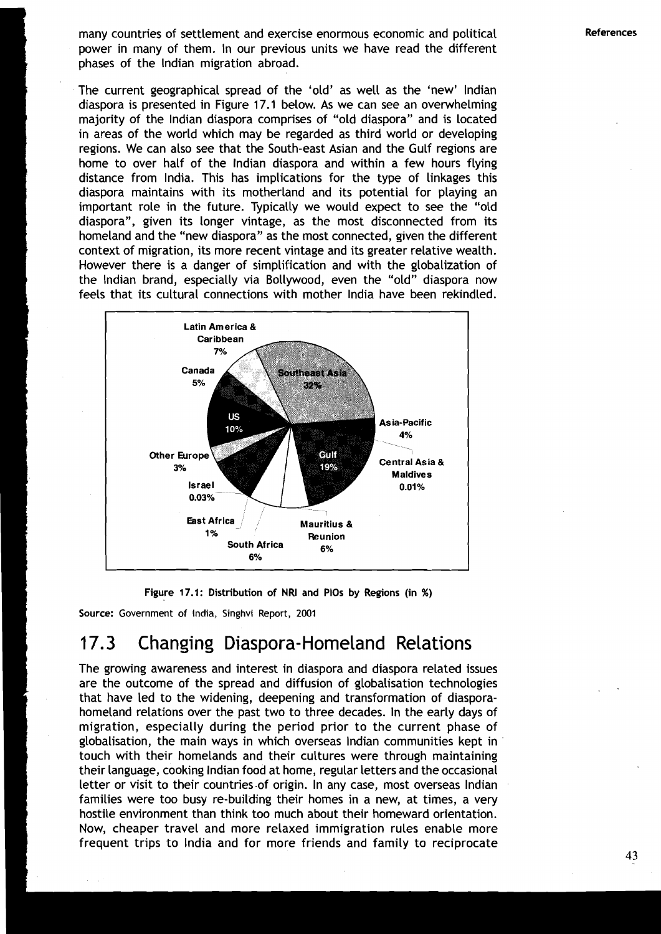many countries of settlement and exercise enormous economic and political **References**  power in many of them. In our previous units we have read the different phases of the lndian migration abroad.

The current geographical spread of the 'old' as well as the 'new' lndian diaspora is presented in Figure 17.1 below. As we can see an overwhelming majority of the lndian diaspora comprises of "old diaspora" and is located in areas of the world which may be regarded as third world or developing regions. We can also see that the South-east Asian and the Gulf regions are home to over half of the lndian diaspora and within a few hours flying distance from India. This has implications for the type of linkages this diaspora maintains with its motherland and its potential for playing an important role in the future. Typically we would expect to see the "old diaspora", given its longer vintage, as the most disconnected from its homeland and the "new diaspora" as the most connected, given the different context of migration, its more recent vintage and its greater relative wealth. However there is a danger of simplification and with the globalization of the lndian brand, especially via Bollywood, even the "old" diaspora now feels that its cultural connections with mother lndia have been rekindled.



**Figure 17.1: Distribution of NRI and PlOs by Regions (in** %)

**Source:** Government of India, Singhvi Report, **2001** 

### 17.3 Changing Diaspora-Homeland Relations

The growing awareness and interest in diaspora and diaspora related issues are the outcome of the spread and diffusion of globalisation technologies that have led to the widening, deepening and transformation of diasporahomeland relations over the past two to three decades. In the early days of migration, especially during the period prior to the current phase of globalisation, the main ways in which overseas lndian communities kept in touch with their homelands and their cultures were through maintaining their language, cooking lndian food at home, regular letters and the occasional letter or visit to their countries -of origin. In any case, most overseas lndian families were too busy re-building their homes in a new, at times, a very hostile environment than think too much about their homeward orientation. Now, cheaper travel and more relaxed immigration rules enable more frequent trips to lndia and for more friends and family to reciprocate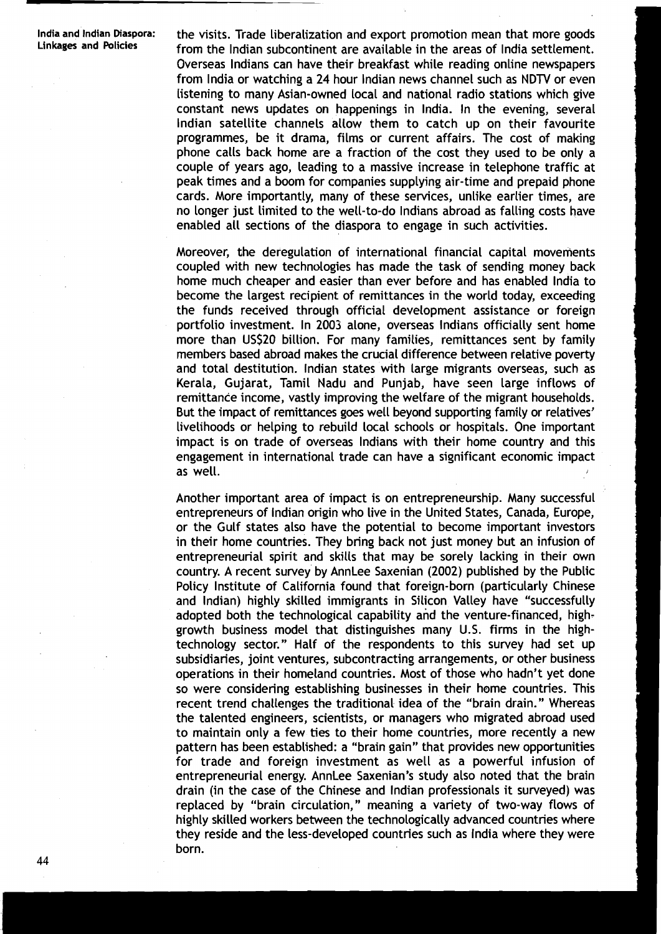**lndia and lndian Diaspora:** the visits. Trade liberalization and export promotion mean that more goods **Linkages and Policies** from the Indian subcontinent are available in the areas of India settlement. Overseas Indians can have their breakfast while reading online newspapers from lndia or watching a 24 hour lndian news channel such as NDTV or even listening to many Asian-owned local and national radio stations which give constant news updates on happenings in India. In the evening, several lndian satellite channels allow them to catch up on their favourite programmes, be it drama, films or current affairs. The cost of making phone calls back home are a fraction of the cost they used to be only a couple of years ago, leading to a massive increase in telephone traffic at peak times and a boom for companies supplying air-time and prepaid phone cards. More importantly, many of these services, unlike earlier times, are no longer just limited to the well-to-do lndians abroad as falling costs have enabled all sections of the diaspora to engage in such activities.

> Moreover, the deregulation of international financial capital movements coupled with new technologies has made the task of sending money back home much cheaper and easier than ever before and has enabled lndia to become the largest recipient of remittances in the world today, exceeding the funds received through official development assistance or foreign portfolio investment. In 2003 alone, overseas lndians officially sent home more than US520 billion. For many families, remittances sent by family members based abroad makes the crucial difference between relative poverty and total destitution. lndian states with large migrants overseas, such as Kerala, Gujarat, Tamil Nadu and Punjab, have seen Large inflows of remittance income, vastly improving the welfare of the migrant households. But the impact of remittances goes well beyond supporting family or relatives' livelihoods or helping to rebuild local schools or hospitals. One important impact is on trade of overseas lndians with their home country and this engagement in international trade can have a significant economic impact as well.

> Another important area of impact is on entrepreneurship. Many successful entrepreneurs of lndian origin who live in the United States, Canada, Europe, or the Gulf states also have the potential to become important investors in their home countries. 'They bring back not just money but an infusion of entrepreneurial spirit and skills that may be sorely lacking in their own country. A recent survey by AnnLee Saxenian (2002) published by the Public Policy Institute of California found that foreign-born (particularly Chinese and Indian) highly skilled immigrants in Silicon Valley have "successfully adopted both the technological capability and the venture-financed, highgrowth business model that distinguishes many U.S. firms in the hightechnology sector." Half of the respondents to this survey had set up subsidiaries, joint ventures, subcontracting arrangements, or other business operations in their homeland countries. Most of those who hadn't yet done so were considering establishing businesses in their home countries. This recent trend challenges the traditional idea of the "brain drain." Whereas the talented engineers, scientists, or managers who migrated abroad used to maintain only a few ties to their home countries, more recently a new pattern has been established: a "brain gain" that provides new opportunities for trade and foreign investment as well as a powerful infusion of entrepreneurial energy. AnnLee Saxenian's study also noted that the brain drain (in the case of the Chinese and lndian professionals it surveyed) was replaced by "brain circulation," meaning a variety of two-way flows of highly skilled workers between the technologically advanced countries where they reside and the less-developed countries such as lndia where they were born.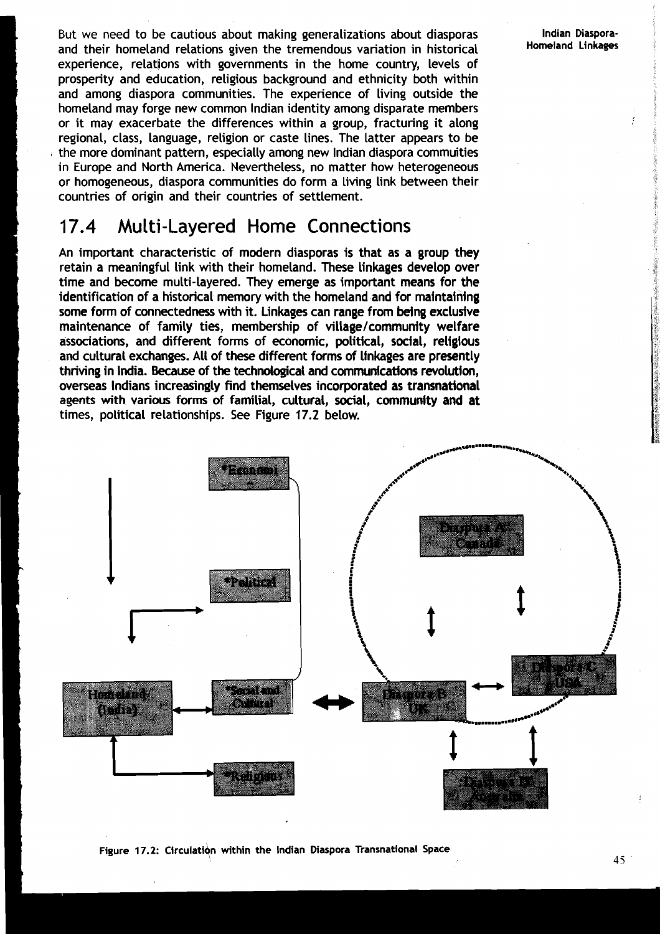But we need to be cautious about making generalizations about diasporas and their homeland relations given the tremendous variation in historical experience, relations with governments in the home country, levels of prosperity and education, religious background and ethnicity both within and among diaspora communities. The experience of living outside the homeland may forge new common lndian identity among disparate members or it may exacerbate the differences within a group, fracturing it along regional, class, language, religion or caste lines. The latter appears to be **<sup>L</sup>**the more dominant pattern, especially among new lndian diaspora commuities in Europe and North America. Nevertheless, no matter how heterogeneous or homogeneous, diaspora communities do form a living link between their countries of origin and their countries of settlement.

### 17.4 Multi-Layered Home Connections

An important characteristic of modern diasporas is that as a group they retain a meaningful link with their homeland. These linkages develop over time and become multi-layered. They emerge as important means for the identification of a historical memory with the homeland and for maintaining some form of connectedness with it. Linkages can range from being exclusive maintenance of family ties, membership of village/community welfare associations, and different forms of economic, political, social, religious and cultural exchanges. All of these different forms of linkages are presently thriving in India. Because of the technological and communications revolution, overseas Indians increasingly find themselves incorporated as transnational **agents** with various forms of familial, cultural, social, community and at times, political relationships. See Figure 17.2 below.



**Figure 17.2: Circulation within the Indian Diaspora Transnational Space** 2008 2014 5

**lndian Diaspora-Homeland Linkages**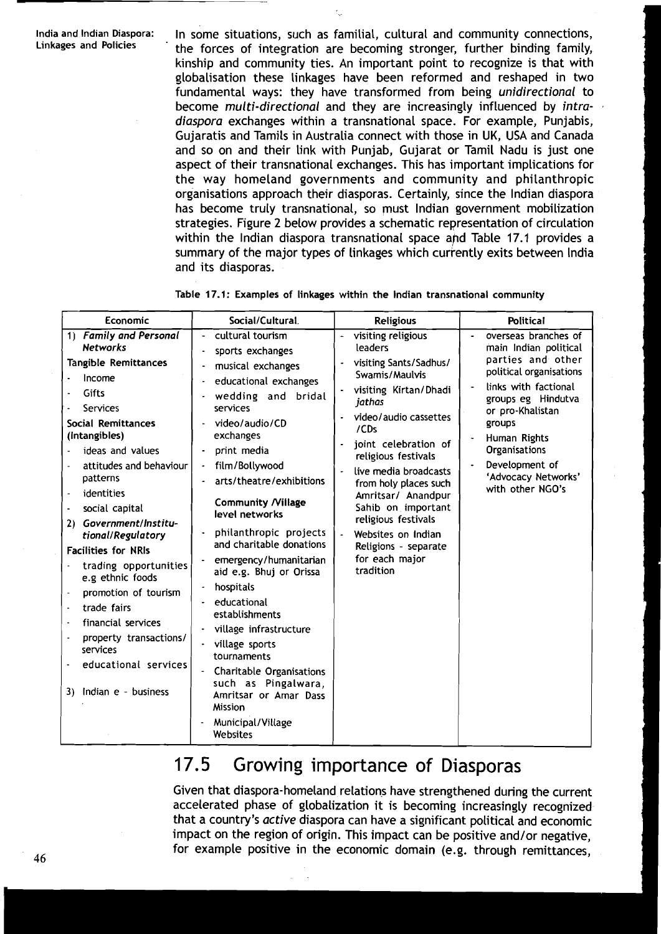India and Indian Diaspora: In some situations, such as familial, cultural and community connections, Linkages and Policies the forces of integration are becoming stronger, further binding family, kinship and community ties. An important point to recognize is that with globalisation these linkages have been reformed and reshaped in two fundamental ways: they have transformed from being **unidirectional** to become **multi-directional** and they are increasingly influenced by **intradiaspora** exchanges within a transnational space. For example, Punjabis, Gujaratis and Tamils in Australia connect with those in UK, USA and Canada and so on and their link with Punjab, Gujarat or Tamil Nadu is just one aspect of their transnational exchanges. This has important implications for the way homeland governments and community and philanthropic organisations approach their diasporas. Certainly, since the lndian diaspora has become truly transnational, so must lndian government mobilization strategies. Figure 2 below provides a schematic representation of circulation within the Indian diaspora transnational space and Table 17.1 provides a summary of the major types of linkages which currently exits between India and its diasporas.

| Economic                                                                                                                                                                                                                                                                                                                                                                                                                                                                                                                                                                                           | Social/Cultural.                                                                                                                                                                                                                                                                                                                                                                                                                                                                                                                                                                                              | <b>Religious</b>                                                                                                                                                                                                                                                                                                                                                                               | <b>Political</b>                                                                                                                                                                                                                                                        |
|----------------------------------------------------------------------------------------------------------------------------------------------------------------------------------------------------------------------------------------------------------------------------------------------------------------------------------------------------------------------------------------------------------------------------------------------------------------------------------------------------------------------------------------------------------------------------------------------------|---------------------------------------------------------------------------------------------------------------------------------------------------------------------------------------------------------------------------------------------------------------------------------------------------------------------------------------------------------------------------------------------------------------------------------------------------------------------------------------------------------------------------------------------------------------------------------------------------------------|------------------------------------------------------------------------------------------------------------------------------------------------------------------------------------------------------------------------------------------------------------------------------------------------------------------------------------------------------------------------------------------------|-------------------------------------------------------------------------------------------------------------------------------------------------------------------------------------------------------------------------------------------------------------------------|
| 1) Family and Personal<br><b>Networks</b><br>Tangible Remittances<br>Income<br>Gifts<br>Services<br>Social Remittances<br>(intangibles)<br>ideas and values<br>attitudes and behaviour<br>patterns<br>identities<br>$\overline{\phantom{a}}$<br>social capital<br>$\blacksquare$<br>Government/Institu-<br>2)<br>tional/Regulatory<br><b>Facilities for NRIs</b><br>trading opportunities<br>e.g ethnic foods<br>promotion of tourism<br>$\blacksquare$<br>trade fairs<br>financial services<br>$\sim$<br>property transactions/<br>services<br>educational services<br>Indian e - business<br>3١. | cultural tourism<br>sports exchanges<br>musical exchanges<br>educational exchanges<br>wedding and bridal<br>services<br>video/audio/CD<br>exchanges<br>print media<br>film/Bollywood<br>arts/theatre/exhibitions<br><b>Community /Village</b><br>level networks<br>philanthropic projects<br>and charitable donations<br>emergency/humanitarian<br>aid e.g. Bhuj or Orissa<br>hospitals<br>educational<br>establishments<br>village infrastructure<br>village sports<br>tournaments<br><b>Charitable Organisations</b><br>such as Pingalwara,<br>Amritsar or Amar Dass<br><b>Mission</b><br>Municipal/Village | visiting religious<br>leaders<br>visiting Sants/Sadhus/<br>Swamis/Maulvis<br>visiting Kirtan/Dhadi<br>jathas<br>video/audio cassettes<br>/CDs<br>joint celebration of<br>religious festivals<br>live media broadcasts<br>from holy places such<br>Amritsar/ Anandpur<br>Sahib on important<br>religious festivals<br>Websites on Indian<br>Religions - separate<br>for each major<br>tradition | overseas branches of<br>main Indian political<br>parties and other<br>political organisations<br>links with factional<br>groups eg Hindutva<br>or pro-Khalistan<br>groups<br>Human Rights<br>Organisations<br>Development of<br>'Advocacy Networks'<br>with other NGO's |
|                                                                                                                                                                                                                                                                                                                                                                                                                                                                                                                                                                                                    | Websites                                                                                                                                                                                                                                                                                                                                                                                                                                                                                                                                                                                                      |                                                                                                                                                                                                                                                                                                                                                                                                |                                                                                                                                                                                                                                                                         |

|  |  |  |  |  |  |  |  | Table 17.1: Examples of linkages within the Indian transnational community |  |
|--|--|--|--|--|--|--|--|----------------------------------------------------------------------------|--|
|--|--|--|--|--|--|--|--|----------------------------------------------------------------------------|--|

### 17.5 Growing importance of Diasporas

Given that diaspora-homeland relations have strengthened during the current accelerated phase of globalization it is becoming increasingly recognized that a country's **active** diaspora can have a significant political and economic impact on the region of origin. This impact can be positive and/or negative, for example positive in the economic domain (e.g. through remittances, **46**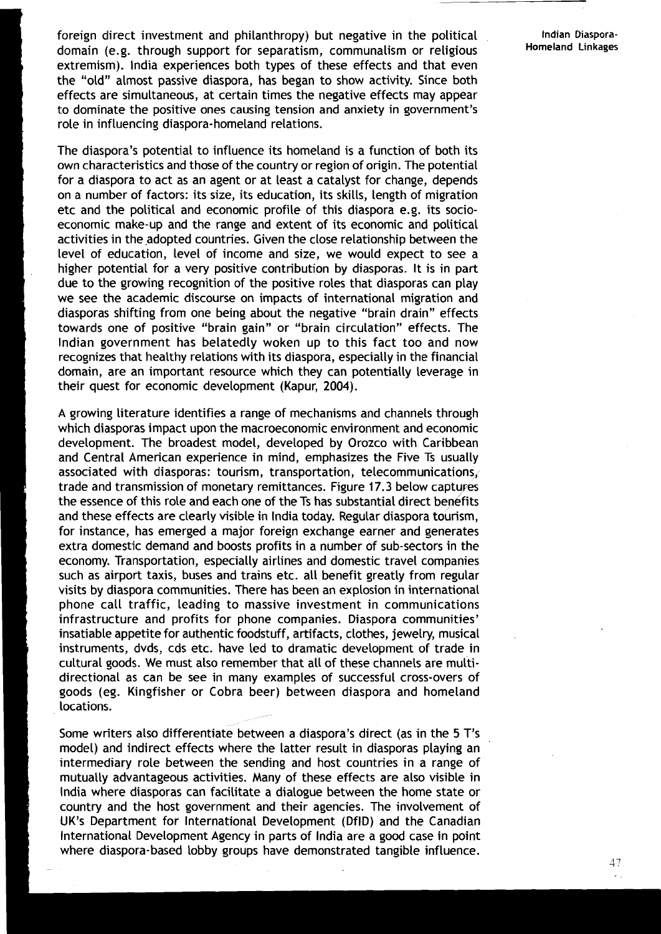foreign direct investment and philanthropy) but negative in the political **Indian Diaspora-**<br> **Indian Linkages**<br> **Indian Linkages** domain (e.g. through support for separatism, communalism or religious extremism). lndia experiences both types of these effects and that even the "old" almost passive diaspora, has began to show activity. Since both effects are simultaneous, at certain times the negative effects may appear to dominate the positive ones causing tension and anxiety in government's role in influencing diaspora-homeland relations.

The diaspora's potential to influence its homeland is a function of both its own characteristics and those of the country or region of origin. The potential for a diaspora to act as an agent or at least a catalyst for change, depends on a number of factors: its size, its education, its skills, length of migration etc and the political and economic profile of this diaspora e.g. its socioeconomic make-up and the range and extent of its economic and political activities in the adopted countries. Given the close relationship between the level of education, level of income and size, we would expect to see a higher potential for a very positive contribution by diasporas. It is in part due to the growing recognition of the positive roles that diasporas can play we see the academic discourse on impacts of international migration and diasporas shifting from one being about the negative "brain drain" effects towards one of positive "brain gain" or "brain circulation" effects. The Indian government has belatedly woken up to this fact too and now recognizes that healthy relations with its diaspora, especially in the financial domain, are an important resource which they can potentially leverage in their quest for economic development (Kapur, 2004).

A growing literature identifies a range of mechanisms and channels through which diasporas impact upon the macroeconomic environment and economic development. The broadest model, developed by Orozco with Caribbean and Central American experience in mind, emphasizes the Five Ts usually associated with diasporas: tourism, transportation, telecommunications, trade and transmission of monetary remittances. Figure 17.3 below captuyes the essence of this role and each one of the Ts has substantial direct benefits and these effects are clearly visible in lndia today. Regular diaspora tourism, for instance, has emerged a major foreign exchange earner and generates extra domestic demand and boosts profits in a number of sub-sectors in the economy. Transportation, especially airlines and domestic travel companies such as airport taxis, buses and trains etc. all benefit greatly from regular visits by diaspora communities. There has been an explosion in international phone call traffic, leading to massive investment in communications infrastructure and profits for phone companies. Diaspora communities' insatiable appetite for authentic foodstuff, artifacts, clothes, jewelry, musical instruments, dvds, cds etc. have led to dramatic development of trade in cultural goods. We must also remember that all of these channels are multidirectional as can be see in many examples of successful cross-overs of goods (eg. Kingfisher or Cobra beer) between diaspora and homeland locations.

Some writers also differentiate between a diaspora's direct (as in the 5 T's model) and indirect effects where the latter result in diasporas playing an intermediary role between the sending and host countries in a range of mutually advantageous activities. Many of these effects are also visible in lndia where diasporas can facilitate a dialogue between the home state or country and the host government and their agencies. The involvement of LIK's Department for lnternational Development (DflD) and the Canadian lnternational Development Agency in parts of lndia are a good case in point where diaspora-based lobby groups have demonstrated tangible influence.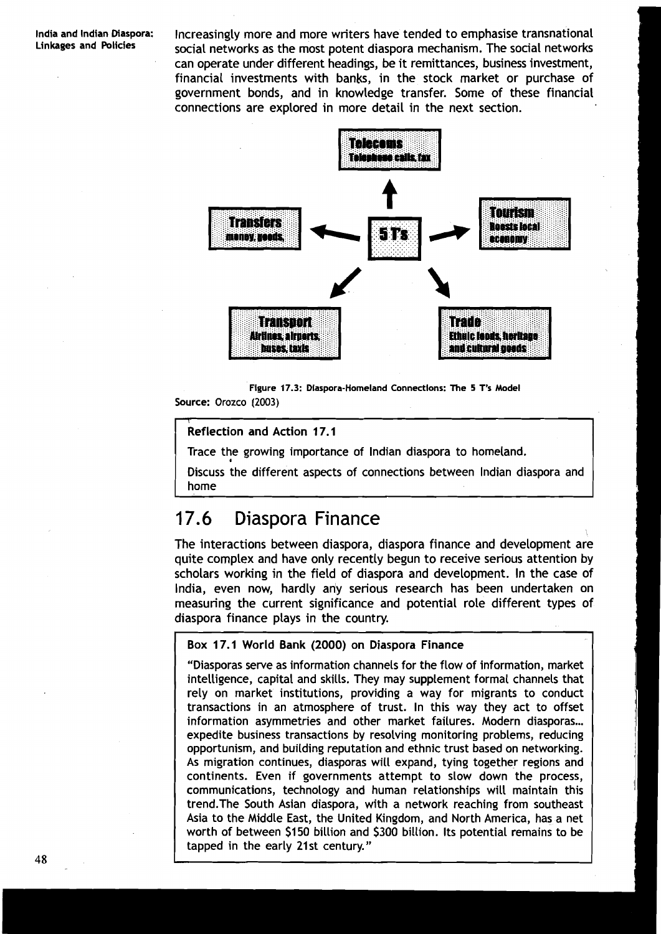**India and lndian Diaspora:** Increasingly more and more writers have tended to emphasise transnational **Linkages and Policies** social networks as the most potent diaspora mechanism. The social networks can operate under different headings, be it remittances, business investment, financial investments with banks, in the stock market or purchase of government bonds, and in knowledge transfer. Some of these financial connections are explored in more detail in the next section.





Reflection and Action 17.1

*I* 

**1** 

Trace the growing importance of lndian diaspora to homeland.

Discuss the different aspects of connections between lndian diaspora and home

### 17.6 Diaspora Finance

The interactions between diaspora, diaspora finance and development are quite complex and have only recently begun to receive serious attention by scholars working in the field of diaspora and development. In the case of India, even now, hardly any serious research has been undertaken on measuring the current significance and potential role different types of diaspora finance plays in the country.

### Box 17.1 World Bank (2000) on Diaspora Finance

"Diasporas serve as information channels for the flow of information, market intelligence, capital and skills. They may supplement formal channels that rely on market institutions, providing a way for migrants to conduct transactions in an atmosphere of trust. In this way they act to offset information asymmetries and other market failures. Modern diasporas...<br>expedite business transactions by resolving monitoring problems, reducing opportunism, and building reputation and ethnic trust based on networking. As migration continues, diasporas will expand, tying together regions and continents. Even if governments attempt to slow down the process, communications, technology and human relationships will maintain this trend.The South Asian diaspora, with a network reaching from southeast Asia to the Middle East, the United Kingdom, and North America, has a net worth of between \$150 billion and \$300 billion. Its potential remains to be tapped in the early 21st century."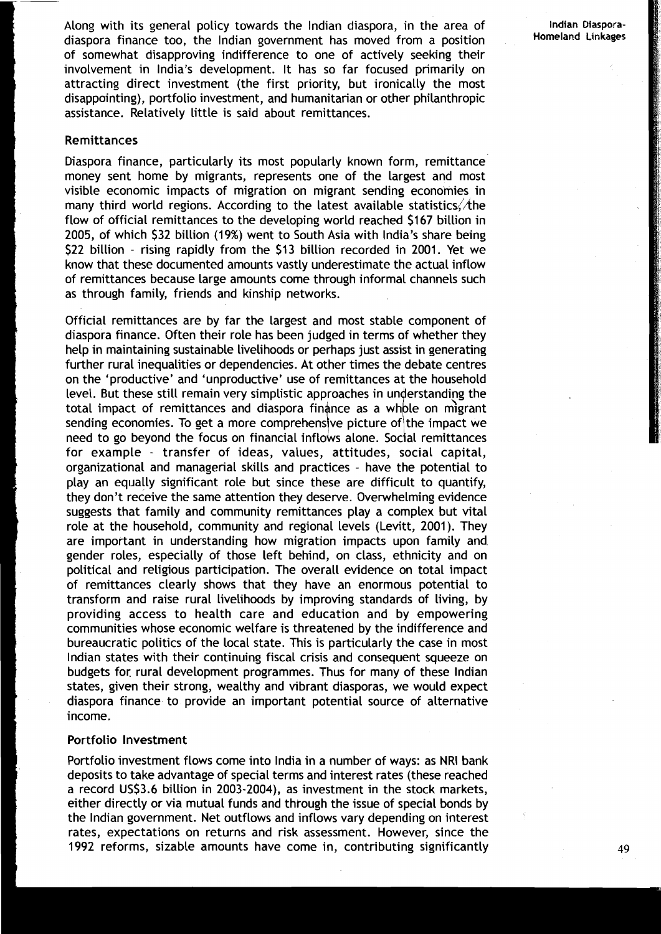**lndian Diaspora-Homeland Linkages** 

Along with its general policy towards the lndian diaspora, in the area of diaspora finance too, the lndian government has moved from a position of somewhat disapproving indifference to one of actively seeking their involvement in India's development. It has so far focused primarily on attracting direct investment (the first priority, but ironically the most disappointing), portfolio investment, and humanitarian or other philanthropic assistance. Relatively little is said about remittances.

### Remittances

Diaspora finance, particularly its most popularly known form, remittance money sent home by migrants, represents one of the largest and most visible economic impacts of migration on migrant sending economies in many third world regions. According to the latest available statistics,  $A$ he flow of official remittances to the developing world reached \$167 billion in 2005, of which \$32 billion (19%) went to South Asia with India's share being \$22 billion - rising rapidly from the \$13 billion recorded in 2001. Yet we know that these documented amounts vastly underestimate the actual inflow of remittances because large amounts come through informal channels such as through family, friends and kinship networks.

Official remittances are by far the largest and most stable component of diaspora finance. Often their role has been judged in terms of whether they help in maintaining sustainable livelihoods or perhaps just assist in generating further rural inequalities or dependencies. At other times the debate centres on the 'productive' and 'unproductive' use of remittances at the household level. But these still remain very simplistic approaches in understanding the total impact of remittances and diaspora finance as a whole on migrant sending economies. To get a more comprehensive picture of the impact we need to go beyond the focus on financial inflows alone. Social remittances for example - transfer of ideas, values, attitudes, social capital, organizational and managerial skills and practices - have the potential to play an equally significant role but since these are difficult to quantify, they don't receive the same attention they deserve. Overwhelming evidence suggests that family and community remittances play a complex but vital role at the household, community and regional levels (Levitt, 2001). They are important in understanding how migration impacts upon family and gender roles, especially of those left behind, on class, ethnicity and on political and religious participation. The overall evidence on total impact of remittances clearly shows that they have an enormous potential to transform and raise rural livelihoods by improving standards of living, by providing access to health care and education and by empowering communities whose economic welfare is threatened by the indifference and bureaucratic politics of the local state. This is particularly the case in most lndian states with their continuing fiscal crisis and consequent squeeze on budgets for. rural development programmes. Thus for many of these lndian states, given their strong, wealthy and vibrant diasporas, we would expect diaspora finance to provide an important potential source of alternative income.

#### Portfolio Investment

Portfolio investment flows come into India in a number of ways: as NRI bank deposits to take advantage of special terms and interest rates (these reached a record USS3.6 billion in 2003-2004), as investment in the stock markets, either directly or via mutual funds and through the issue of special bonds by the lndian government. Net outflows and inflows vary depending on interest rates, expectations on returns and risk assessment. However, since the 1992 reforms, sizable amounts have come in, contributing significantly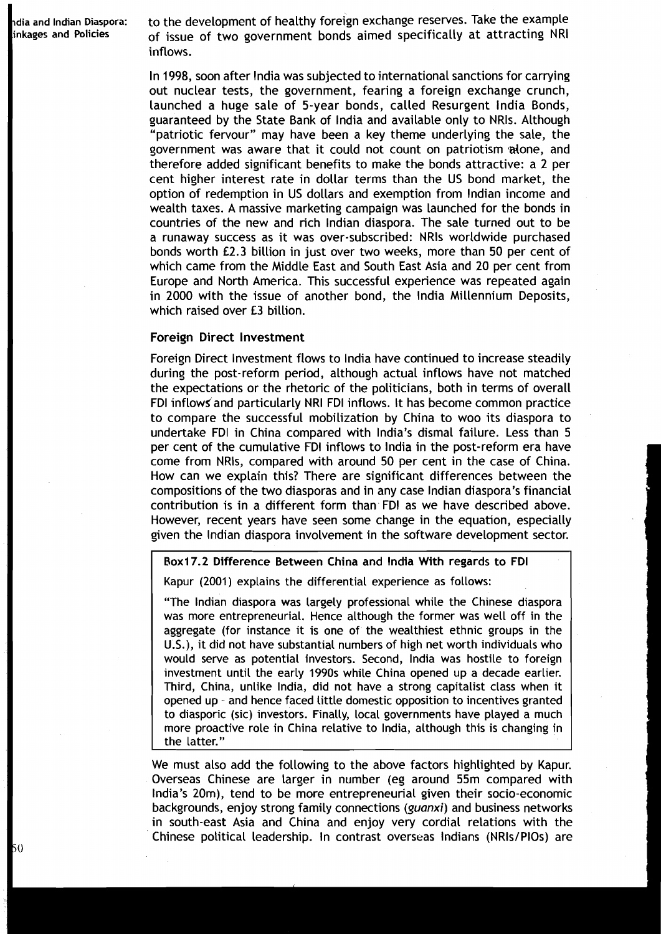*<sup>5</sup>*0

**dia and lndian Diaspora:** to the development of healthy foreign exchange reserves. Take the example of issue of two government bonds aimed specifically at attracting NRI inflows.

> In 1998, soon after lndia was subjected to international sanctions for carrying out nuclear tests, the government, fearing a foreign exchange crunch, launched a huge sale of 5-year bonds, called Resurgent lndia Bonds, guaranteed by the State Bank of lndia and available only to NRls. Although "patriotic fervour" may have been a key theme underlying the sale, the government was aware that it could not count on patriotism alone, and therefore added significant benefits to make the bonds attractive: a 2 per cent higher interest rate in dollar terms than the US bond market, the option of redemption in US dollars and exemption from lndian income and wealth taxes. A massive marketing campaign was launched for the bonds in countries of the new and rich lndian diaspora. The sale turned out to be a runaway success as it was over-subscribed: NRls worldwide purchased bonds worth L2.3 billion in just over two weeks, more than 50 per cent of which came from the Middle East and South East Asia and 20 per cent from Europe and North America. This successful experience was repeated again in 2000 with the issue of another bond, the lndia Millennium Deposits, which raised over £3 billion.

#### **I** Foreign Direct lnvestment

Foreign Direct lnvestment flows to lndia have continued to increase steadily during the post-reform period, although actual inflows have not matched the expectations or the rhetoric of the politicians, both in terms of overall FDI inflows and particularly NRI FDI inflows. It has become common practice to compare the successful mobilization by China to woo its diaspora to undertake FDI in China compared with India's dismal failure. Less than 5 per cent of the cumulative FDI inflows to lndia in the post-reform era have come from NRls, compared with around 50 per cent in the case of China. How can we explain this? There are significant differences between the compositions of the two diasporas and in any case lndian diaspora's financial contribution is in a different form than FDI as we have described above. However, recent years have seen some change in the equation, especially given the lndian diaspora involvement in the software development sector.

#### Rox17.2 Difference Between China and lndia With regards to FDI

Kapur (2001) explains the differential experience as follows:

"The lndian diaspora was largely professional while the Chinese diaspora was more entrepreneurial. Hence although the former was well off in the aggregate (for instance it is one of the wealthiest ethnic groups in the U.S.), it did not have substantial numbers of high net worth individuals who would serve as potential investors. Second, lndia was hostile to foreign investment until the early 1990s while China opened up a decade earlier. Third, China, unlike India, did not have a strong capitalist class when it opened up - and hence faced little domestic opposition to incentives granted to diasporic (sic) investors. Finally, local governments have played a much more proactive role in China relative to India, although this is changing in the latter."

We must also add the following to the above factors highlighted by Kapur. Overseas Chinese are larger in number (eg around 55m compared with 1 India's 20m), tend to be more entrepreneurial given their socio-economic backgrounds, enjoy strong family connections **(guanxi)** and business networks <sup>I</sup> in south-east Asia and China and enjoy very cordial relations with the Chinese political leadership. In contrast overseas Indians (NRIs/PIOs) are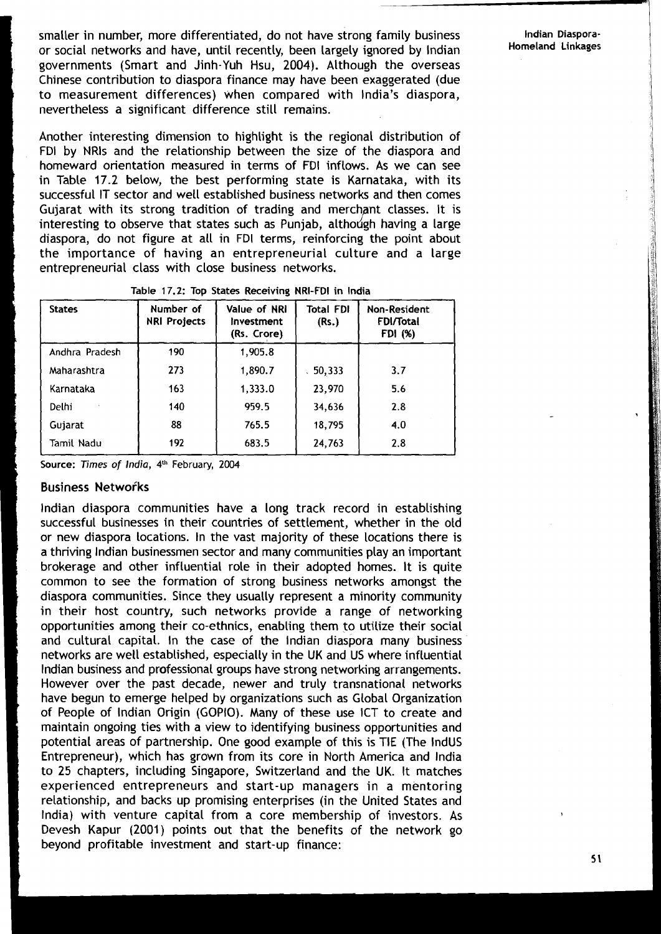smaller in number, more differentiated, do not have strong family business **Indian Diaspora-**<br>
ar secial potworks and bave until recently been largely ignored by Indian **Homeland Linkages** or social networks and have, until recently, been largely ignored by Indian governments (Smart and Jinh-Yuh Hsu, **2004).** Although the overseas Chinese contribution to diaspora finance may have been exaggerated (due to measurement differences) when compared with India's diaspora, nevertheless a significant difference still remains.

Another interesting dimension to highlight is the regional distribution of FDI by NRls and the relationship between the size of the diaspora and homeward orientation measured in terms of FDI inflows. As we can see in Table **17.2** below, the best performing state is Karnataka, with its successful IT sector and well established business networks and then comes Guiarat with its strong tradition of trading and merchant classes. It is interesting to observe that states such as Punjab, although having a large diaspora, do not figure at all in FDI terms, reinforcing the point about the importance of having an entrepreneurial culture and a large entrepreneurial class with close business networks.

| <b>States</b>  | Number of<br><b>NRI Projects</b> | Value of NRI<br><b>Investment</b><br>(Rs. Crore) | <b>Total FDI</b><br>(Rs.) | <b>Non-Resident</b><br><b>FDI/Total</b><br>FDI (%) |
|----------------|----------------------------------|--------------------------------------------------|---------------------------|----------------------------------------------------|
| Andhra Pradesh | 190                              | 1,905.8                                          |                           |                                                    |
| Maharashtra    | 273                              | 1,890.7                                          | 50,333                    | 3.7                                                |
| Karnataka      | 163                              | 1,333.0                                          | 23,970                    | 5.6                                                |
| Delhi          | 140                              | 959.5                                            | 34,636                    | 2.8                                                |
| Gujarat        | 88                               | 765.5                                            | 18,795                    | 4.0                                                |
| Tamil Nadu     | 192                              | 683.5                                            | 24,763                    | 2.8                                                |

| Table 17.2: Top States Receiving NRI-FDI in India |  |
|---------------------------------------------------|--|
|---------------------------------------------------|--|

**Source: Times of India, 4"** February, **2004** 

#### **Business Networks**

lndian diaspora communities have a long track record in establishing successful businesses in their countries of settlement, whether in the old or new diaspora locations. In the vast majority of these locations there is a thriving lndian businessmen sector and many communities play an important brokerage and other influential role in their adopted homes. It is quite common to see the formation of strong business networks amongst the diaspora communities. Since they usually represent a minority community in their host country, such networks provide a range of networking opportunities among their co-ethnics, enabling them to utilize their social and cultural capital. In the case of the lndian diaspora many business networks are well established, especially in the UK and US where influential lndian business and professional groups have strong networking arrangements. However over the past decade, newer and truly transnational networks have begun to emerge helped by organizations such as Global Organization of People of lndian Origin (GOPIO). Many of these use ICT to create and maintain ongoing ties with a view to identifying business opportunities and potential areas of partnership. One good example of this is TIE (The IndUS Entrepreneur), which has grown from its core in North America and lndia to **25** chapters, including Singapore, Switzerland and the UK. It matches experienced entrepreneurs and start-up managers in a mentoring relationship, and backs up promising enterprises (in the United States and India) with venture capital from a core membership of investors. As Devesh Kapur **(2001)** points out that the benefits of the network go beyond profitable investment and start-up finance: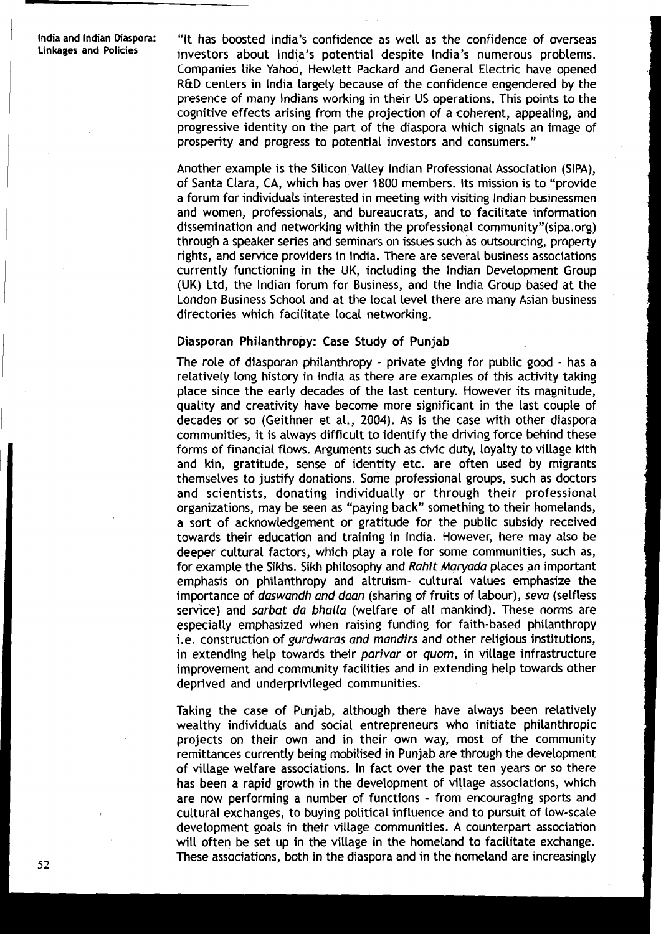**lndia and lndian Diaspora:** "It has boosted India's confidence as well as the confidence of overseas **Linkages and Policies** investors about India's potential despite India's numerous problems. Companies like Yahoo, Hewlett Packard and General Electric have opened R&D centers in lndia largely because of the confidence engendered by the presence of many Indians working in their US operations, This points to the cognitive effects arising from the projection of a coherent, appealing, and progressive identity on the part of the diaspora which signals an image of prosperity and progress to potential investors and consumers. "

> Another example is the Silicon Valley lndian Professional Association (SIPA), of Santa Clara, CA, which has over 1800 members. Its mission is to "provide a forum for individuals interested in meeting with visiting lndian businessmen and women, professionals, and bureaucrats, and to facilitate information dissemination and networking within the professional community"(sipa.org) through a speaker series and seminars on issues such as outsourcing, property rights, and service providers in India. There are several business associations currently functioning in the LIK, including the lndian Development Group (UK) Ltd, the lndian forum for Business, and the lndia Group based at the London Business School and at the local level there are many Asian business directories which facilitate local networking.

#### Diasporan Philanthropy: Case Study of Punjab

The role of diasporan philanthropy - private giving for public good - has a relatively long history in lndia as there are examples of this activity taking place since the early decades of the last century. However its magnitude, quality and creativity have become more significant in the last couple of decades or so (Geithner et al., 2004). As is the case with other diaspora communities, it is always difficult to identify the driving force behind these forms of financial flows. Arguments such as civic duty, loyalty to village kith and kin, gratitude, sense of identity etc. are often used by migrants themselves to justify donations. Some professional groups, such as doctors and scientists, donating individually or through their professional organizations, may be seen as "paying back" something to their homelands, a sort of acknowledgement or gratitude for the public subsidy received towards their education and training in India. However, here may also be deeper cultural factors, which play a role for some communities, such as, for example the Sikhs. Sikh philosophy and **Rahit Maryada** places an important emphasis on philanthropy and altruism- cultural values emphasize the importance of **daswandh and daan** (sharing of fruits of labour), **seva** (selfless service) and **sarbat da bhalla** (welfare of all mankind). These norms are especially emphasized when raising funding for faith-based philanthropy i.e. construction of **gurdwaras and mandirs** and other religious institutions, in extending help towards their **parivar** or **quom,** in village infrastructure improvement and community facilities and in extending help towards other deprived and underprivileged communities.

Taking the case of Punjab, although there have always been relatively wealthy individuals and social entrepreneurs who initiate philanthropic projects on their own and in their own way, most of the community remittances currently being mobilised in Punjab are through the development of village welfare associations. In fact over the past ten years or so there has been a rapid growth in the development of village associations, which are now performing a number of functions - from encouraging sports and cultural exchanges, to buying political influence and to pursuit of low-scale development goals in their village communities. A counterpart association will often be set up in the village in the homeland to facilitate exchange. These associations, both in the diaspora and in the homeland are increasingly

52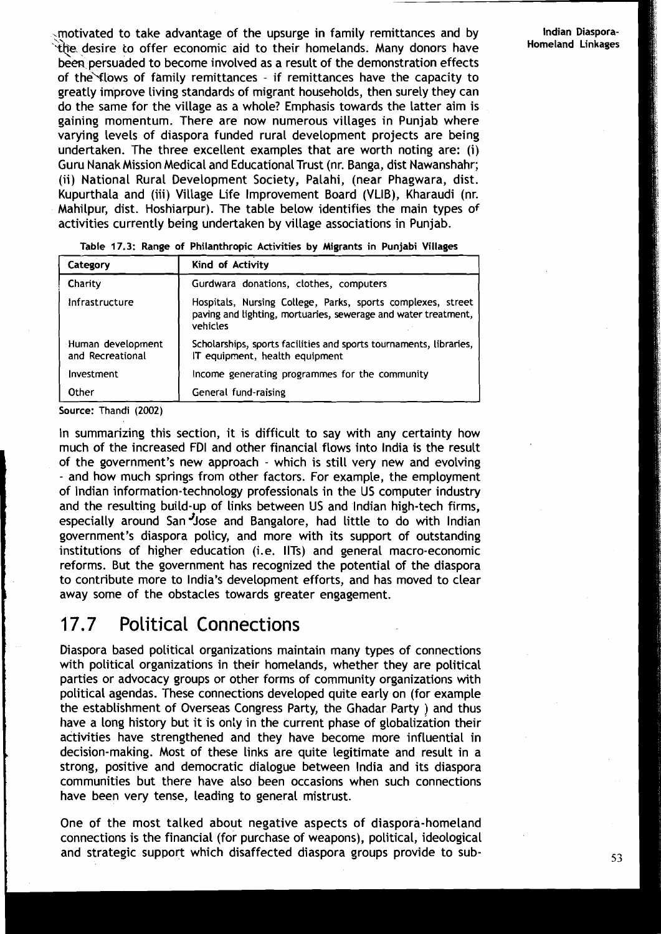;motivated to take advantage of the upsurge in family remittances and by **Indian Diaspora- 'T\*.** desire to offer economic aid to their homelands. Many donors have **Homeland Linkages**  been persuaded to become involved as a result of the demonstration effects of the flows of family remittances - if remittances have the capacity to greatly improve living standards of migrant households, then surely they can do the same for the village as a whole? Emphasis towards the latter aim is gaining momentum. There are now numerous villages in Punjab where varying levels of diaspora funded rural development projects are being undertaken. 'The three excellent examples that are worth noting are: (i) Guru Nanak Mission Medical and Educational Trust (nr. Banga, dist Nawanshahr; (ii) National Rural Development Society, Palahi, (near Phagwara, dist. Kupurthala and (iii) Village Life Improvement Board (VLIB), Kharaudi (nr. Mahilpur, dist. Hoshiarpur). The table below identifies the main types of activities currently being undertaken by village associations in Punjab.

| Category                              | Kind of Activity                                                                                                                          |  |
|---------------------------------------|-------------------------------------------------------------------------------------------------------------------------------------------|--|
| Charity                               | Gurdwara donations, clothes, computers                                                                                                    |  |
| Infrastructure                        | Hospitals, Nursing College, Parks, sports complexes, street<br>paving and lighting, mortuaries, sewerage and water treatment,<br>vehicles |  |
| Human development<br>and Recreational | Scholarships, sports facilities and sports tournaments, libraries,<br>IT equipment, health equipment                                      |  |
| Investment                            | Income generating programmes for the community                                                                                            |  |
| Other                                 | General fund-raising                                                                                                                      |  |

**Table 17.3: Range of Philanthropic Activities by Migrants in Punjabi Villages** 

**Source: Thandi (2002)** 

In summarizing this section, it is difficult to say with any certainty how much of the increased FDI and other financial flows into lndia is the result of the government's new approach - which is still very new and evolving - and how much springs from other factors. For example, the employment of lndian information-technology professionals in the US computer industry and the resulting build-up of links between US and lndian high-tech firms, especially around San<sup>J</sup>Jose and Bangalore, had little to do with Indian government's diaspora policy, and more with its support of outstanding institutions of higher education (i.e. IITs) and general macro-economic reforms. But the government has recognized the potential of the diaspora to contribute more to India's development efforts, and has moved to clear away some of the obstacles towards greater engagement.

### 17.7 Political Connections

Diaspora based political organizations maintain many types of connections with political organizations in their homelands, whether they are political parties or advocacy groups or other forms of community organizations with political agendas. These connections developed quite early on (for example the establishment of Overseas Congress Party, the Ghadar Party ) and thus have a long history but it is only in the current phase of globalization their activities have strengthened and they have become more influential in decision-making. Most of these links are quite legitimate and result in a strong, positive and democratic dialogue between lndia and its diaspora communities but there have also been occasions when such connections have been very tense, leading to general mistrust.

One of the most talked about negative aspects of diaspora-homeland connections is the financial (for purchase of weapons), political, ideological and strategic support which disaffected diaspora groups provide to sub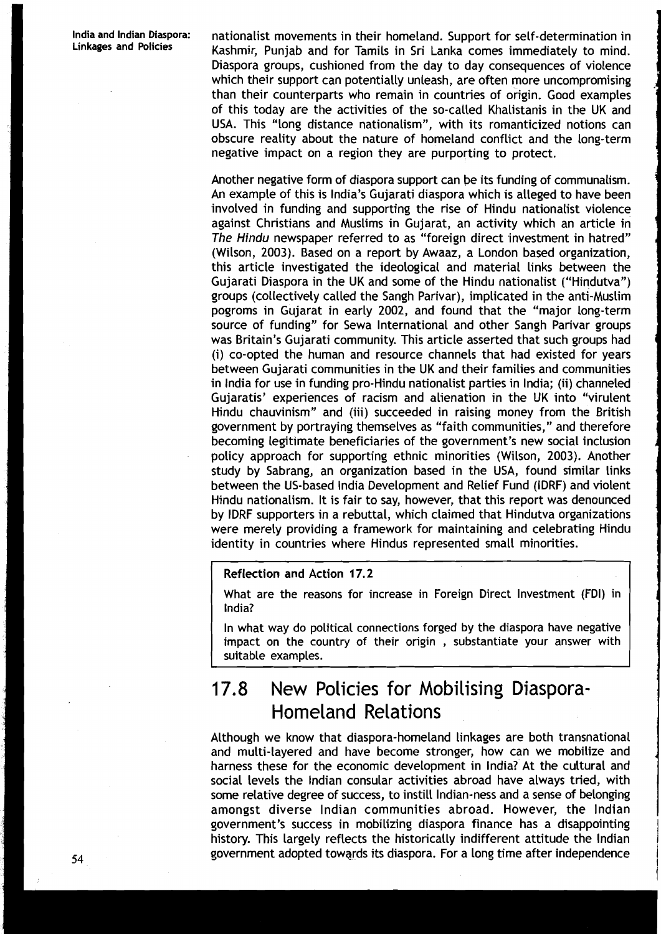**India and Indian Diaspora:** nationalist movements in their homeland. Support for self-determination in Kashmir, Punjab and for Tamils in Sri Lanka comes immediately to mind. Diaspora groups, cushioned from the day to day consequences of violence which their support can potentially unleash, are often more uncompromising than their counterparts who remain in countries of origin. Good examples of this today are the activities of the so-called Khalistanis in the UK and USA. This "long distance nationalism", with its romanticized notions can obscure reality about the nature of homeland conflict and the long-term negative impact on a region they are purporting to protect.

> Another negative form of diaspora support can be its funding of communalism. An example of this is India's Gujarati diaspora which is alleged to have been involved in funding and supporting the rise of Hindu nationalist violence against Christians and Muslims in Gujarat, an activity which an article in The Hindu newspaper referred to as "foreign direct investment in hatred" (Wilson, 2003). Based on a report by Awaaz, a London based organization, this article investigated the ideological and material links between the Gujarati Diaspora in the UK and some of the Hindu nationalist ("Hindutva") groups (collectively called the Sangh Parivar), implicated in the anti-Muslim pogroms in Gujarat in early 2002, and found that the "major long-term source of funding'' for Sewa International and other Sangh Parivar groups was Britain's Gujarati community. This article asserted that such groups had (i) co-opted the human and resource channels that had existed for years between Gujarati communities in the UK and their families and communities in lndia for use in funding pro-Hindu nationalist parties in India; (ii) channeled Gujaratis' experiences of racism and alienation in the UK into "virulent Hindu chauvinism" and (iii) succeeded in raising money from the British government by portraying themselves as "faith communities," and therefore becoming legitimate beneficiaries of the government's new social inclusion policy approach for supporting ethnic minorities (Wilson, 2003). Another study by Sabrang, an organization based in the USA, found similar links between the US-based lndia Development and Relief Fund (IDRF) and violent Hindu nationalism. It is fair to say, however, that this report was denounced by IDRF supporters in a rebuttal, which claimed that Hindutva organizations were merely providing a framework for maintaining and celebrating Hindu identity in countries where Hindus represented small minorities.

#### Reflection and Action 17.2

What are the reasons for increase in Foreign Direct Investment (FDI) in India?

In what way do political connections forged by the diaspora have negative impact on the country of their origin , substantiate your answer with suitable examples.

## **17.8** New Policies for Mobilising Diaspora-Homeland Relations

Although we know that diaspora-homeland linkages are both transnational and multi-layered and have become stronger, how can we mobilize and **<sup>d</sup>** harness these for the economic development in India? At the cultural and social levels the lndian consular activities abroad have always tried, with some relative degree of success, to instill Indian-ness and a sense of belonging amongst diverse lndian communities abroad. However, the lndian government's success in mobilizing diaspora finance has a disappointing history. This largely reflects the historically indifferent attitude the Indian **<sup>54</sup>**government adopted towqrds its diaspora. For a long time after independence 1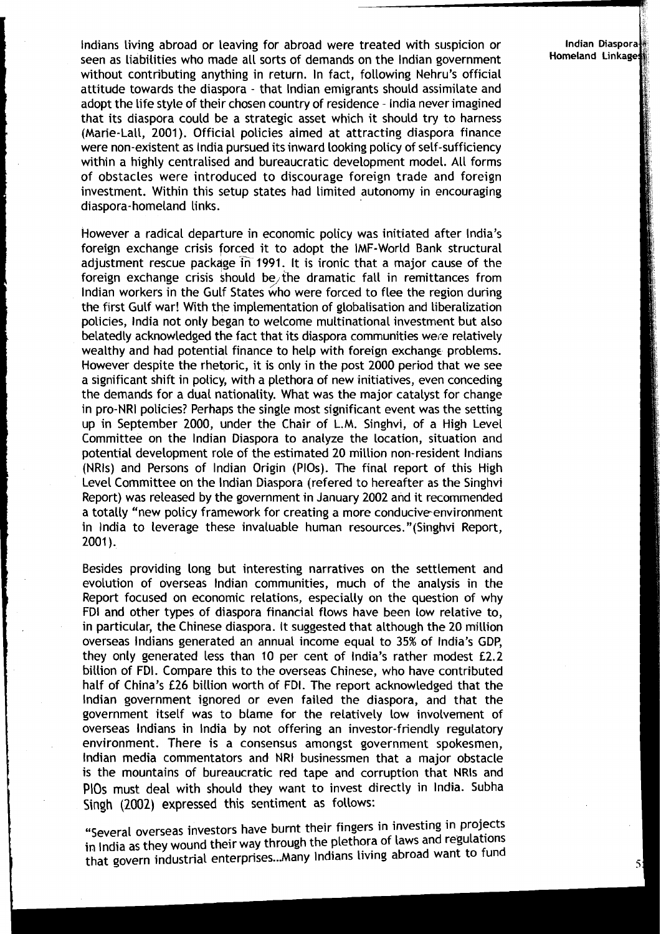lndians living abroad or leaving for abroad were treated with suspicion or seen as liabilities who made all sorts of demands on the lndian government **Homeland Linkage**  without contributing anything in return. In fact, following Nehru's official attitude towards the diaspora - that lndian emigrants should assimilate and adopt the life style of their chosen country of residence - lndia never imagined that its diaspora could be a strategic asset which it should try to harness (Marie-Lall, 2001). Official policies aimed at attracting diaspora finance were non-existent as lndia pursued its inward looking policy of self-sufficiency within a highly centralised and bureaucratic development model. All forms of obstacles were introduced to discourage foreign trade and foreign investment. Within this setup states had limited autonomy in encouraging diaspora- homeland links.

However a radical departure in economic policy was initiated after India's foreign exchange crisis forced it to adopt the IMF-World Bank structural adjustment rescue package in 1991. It is ironic that a major cause of the foreign exchange crisis should be the dramatic fall in remittances from Indian workers in the Gulf States who were forced to flee the region during the first Gulf war! With the implementation of globalisation and liberalization policies, lndia not only began to welcome multinational investment but also belatedly acknowledged the fact that its diaspora communities were relatively wealthy and had potential finance to help with foreign exchange problems. However despite the rhetoric, it is only in the post 2000 period that we see a significant shift in policy, with a plethora of new initiatives, even conceding the demands for a dual nationality. What was the major catalyst for change in pro-NRI policies? Perhaps the single most significant event was the setting up in September 2000, under the Chair of L.M. Singhvi, of a High Level Committee on the lndian Diaspora to analyze the location, situation and potential development role of the estimated 20 million non-resident lndians (NRls) and Persons of lndian Origin (PlOs). The final report of this High Level Committee on the lndian Diaspora (refered to hereafter as the Singhvi Report) was released by the government in January 2002 and it recommended a totally "new policy framework for creating a more conducive-environment in lndia to leverage these invaluable human resources."(Singhvi Report, **<sup>t</sup>** 2001 ).

Besides providing long but interesting narratives on the settlement and evolution of overseas lndian communities, much of the analysis in the Report focused on economic relations, especially on the question of why FDI and other types of diaspora financial flows have been low relative to, in particular, the Chinese diaspora. It suggested that although the 20 million overseas lndians generated an annual income equal to 35% of India's GDP, **<sup>I</sup>**they only generated less than 10 per cent of India's rather modest £2.2 they only generated less than 10 per cent of India's rather modest £2.2<br>billion of FDI. Compare this to the overseas Chinese, who have contributed<br>half of China's £26 billion worth of FDI. The report acknowledged that the lndian government ignored or even failed the diaspora, and that the government itself was to blame for the relatively low involvement of overseas lndians in lndia by not offering an investor-friendly regulatory environment. There is a consensus amongst government spokesmen, lndian media commentators and NRI businessmen that a major obstacle is the mountains of bureaucratic red tape and corruption that NRls and **PlOs** must deal with should they want to invest directly in India. Subha Singh (2002) **expressed** this sentiment as follows:

> "Several overseas investors have burnt their fingers in investing in projects in India as they wound their way through the plethora of laws and regulations that govern industrial enterprises ... Many lndians living abroad want to fund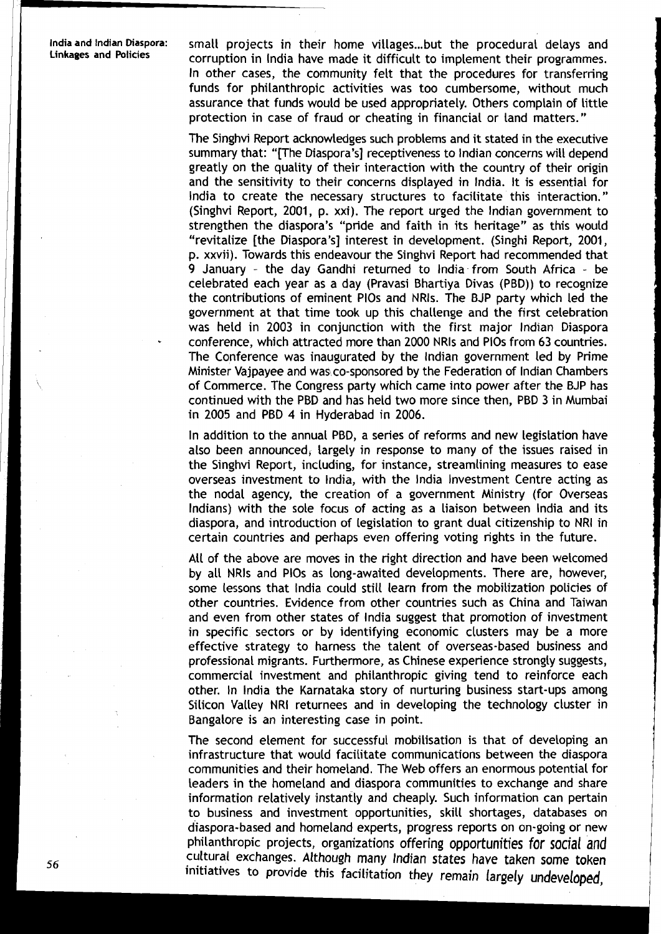**lndiaand Indian Diaspora:** small projects in their home villages ... but the procedural delays and **Linkages and Policies** corruption in India have made it difficult to implement their programmes. In other cases, the community felt that the procedures for transferring funds for philanthropic activities was too cumbersome, without much assurance that funds would be used appropriately. Others complain of little protection in case of fraud or cheating in financial or land matters."

> The Singhvi Report acknowledges such problems and it stated in the executive summary that: "[The Diaspora's] receptiveness to lndian concerns will depend greatly on the quality of their interaction with the country of their origin and the sensitivity to their concerns displayed in India. It is essential for lndia to create the necessary structures to facilitate this interaction." (Singhvi Report, 2001, p. xxi). The report urged the lndian government to strengthen the diaspora's "pride and faith in its heritage" as this would "revitalize [the Diaspora's] interest in development. (Singhi Report, 2001, p. xxvii). Towards this endeavour the Singhvi Report had recommended that **9** January - the day Gandhi returned to lndia from South Africa - be celebrated each year as a day (Pravasi Bhartiya Divas (PBD)) to recognize the contributions of eminent PlOs and NRls. The BJP party which led the government at that time took up this challenge and the first celebration was held in 2003 in conjunction with the first major lndian Diaspora - conference, which attracted more than 2000 NRls and PlOs from 63 countries. The Conference was inaugurated by the lndian government led by Prime Minister Vajpayee and was co-sponsored by the Federation of Indian Chambers of Commerce. The Congress party which came into power after the BJP has continued with the PBD and has held two more since then, PBD 3 in Mumbai in 2005 and PBD **4** in Hyderabad in 2006.

> In addition to the annual PBD, a series of reforms and new legislation have also been announced, largely in response to many of the issues raised in the Singhvi Report, including, for instance, streamlining measures to ease overseas investment to India, with the lndia Investment Centre acting as the nodal agency, the creation of a government Ministry (for Overseas Indians) with the sole focus of acting as a liaison between lndia and its diaspora, and introduction of legislation to grant dual citizenship to NRI in certain countries and perhaps even offering voting rights in the future.

> All of the above are moves in the right direction and have been welcomed by all NRls and PlOs as long-awaited developments. There are, however, some lessons that lndia could still learn from the mobilization policies of other countries. Evidence from other countries such as China and Taiwan and even from other states of lndia suggest that promotion of investment in specific sectors or by identifying economic clusters may be a more effective strategy to harness the talent of overseas-based business and professional migrants. Furthermore, as Chinese experience strongly suggests, commercial investment and philanthropic giving tend to reinforce each other. In lndia the Karnataka story of nurturing business start-ups among Silicon Valley NRI returnees and in developing the technology cluster in Bangalore is an interesting case in point.

> The second element for successful mobilisation is that of developing an infrastructure that would facilitate communications between the diaspora communities and their homeland. The Web offers an enormous potential for leaders in the homeland and diaspora communities to exchange and share information relatively instantly and cheaply. Such information can pertain to business and investment opportunities, skill shortages, databases on diaspora-based and homeland experts, progress reports on on-going or new philanthropic projects, organizations offering opportunities for social and cultural exchanges. Although many Indian states have taken some token initiatives to provide this facilitation they remain largely undeveloped,

56